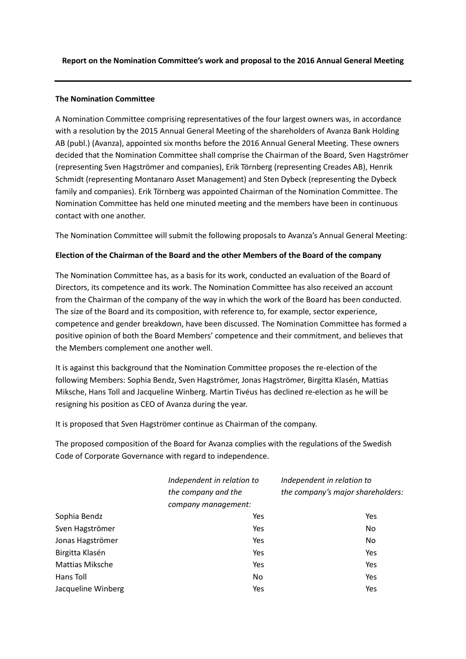## **Report on the Nomination Committee's work and proposal to the 2016 Annual General Meeting**

## **The Nomination Committee**

A Nomination Committee comprising representatives of the four largest owners was, in accordance with a resolution by the 2015 Annual General Meeting of the shareholders of Avanza Bank Holding AB (publ.) (Avanza), appointed six months before the 2016 Annual General Meeting. These owners decided that the Nomination Committee shall comprise the Chairman of the Board, Sven Hagströmer (representing Sven Hagströmer and companies), Erik Törnberg (representing Creades AB), Henrik Schmidt (representing Montanaro Asset Management) and Sten Dybeck (representing the Dybeck family and companies). Erik Törnberg was appointed Chairman of the Nomination Committee. The Nomination Committee has held one minuted meeting and the members have been in continuous contact with one another.

The Nomination Committee will submit the following proposals to Avanza's Annual General Meeting:

## **Election of the Chairman of the Board and the other Members of the Board of the company**

The Nomination Committee has, as a basis for its work, conducted an evaluation of the Board of Directors, its competence and its work. The Nomination Committee has also received an account from the Chairman of the company of the way in which the work of the Board has been conducted. The size of the Board and its composition, with reference to, for example, sector experience, competence and gender breakdown, have been discussed. The Nomination Committee has formed a positive opinion of both the Board Members' competence and their commitment, and believes that the Members complement one another well.

It is against this background that the Nomination Committee proposes the re-election of the following Members: Sophia Bendz, Sven Hagströmer, Jonas Hagströmer, Birgitta Klasén, Mattias Miksche, Hans Toll and Jacqueline Winberg. Martin Tivéus has declined re-election as he will be resigning his position as CEO of Avanza during the year.

It is proposed that Sven Hagströmer continue as Chairman of the company.

The proposed composition of the Board for Avanza complies with the regulations of the Swedish Code of Corporate Governance with regard to independence.

|                        | Independent in relation to | Independent in relation to        |
|------------------------|----------------------------|-----------------------------------|
|                        | the company and the        | the company's major shareholders: |
|                        | company management:        |                                   |
| Sophia Bendz           | Yes                        | Yes                               |
| Sven Hagströmer        | Yes                        | N <sub>o</sub>                    |
| Jonas Hagströmer       | Yes                        | N <sub>o</sub>                    |
| Birgitta Klasén        | Yes                        | Yes                               |
| <b>Mattias Miksche</b> | Yes                        | Yes                               |
| Hans Toll              | No                         | Yes                               |
| Jacqueline Winberg     | Yes                        | Yes                               |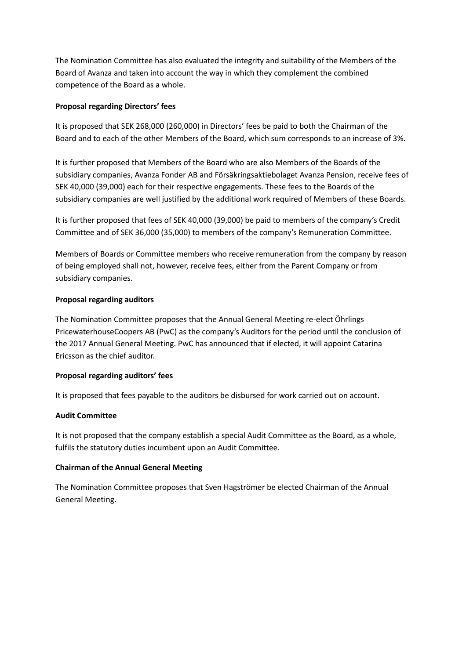The Nomination Committee has also evaluated the integrity and suitability of the Members of the Board of Avanza and taken into account the way in which they complement the combined competence of the Board as a whole.

## **Proposal regarding Directors' fees**

It is proposed that SEK 268,000 (260,000) in Directors' fees be paid to both the Chairman of the Board and to each of the other Members of the Board, which sum corresponds to an increase of 3%.

It is further proposed that Members of the Board who are also Members of the Boards of the subsidiary companies, Avanza Fonder AB and Försäkringsaktiebolaget Avanza Pension, receive fees of SEK 40,000 (39,000) each for their respective engagements. These fees to the Boards of the subsidiary companies are well justified by the additional work required of Members of these Boards.

It is further proposed that fees of SEK 40,000 (39,000) be paid to members of the company's Credit Committee and of SEK 36,000 (35,000) to members of the company's Remuneration Committee.

Members of Boards or Committee members who receive remuneration from the company by reason of being employed shall not, however, receive fees, either from the Parent Company or from subsidiary companies.

## **Proposal regarding auditors**

The Nomination Committee proposes that the Annual General Meeting re-elect Öhrlings PricewaterhouseCoopers AB (PwC) as the company's Auditors for the period until the conclusion of the 2017 Annual General Meeting. PwC has announced that if elected, it will appoint Catarina Ericsson as the chief auditor.

## **Proposal regarding auditors' fees**

It is proposed that fees payable to the auditors be disbursed for work carried out on account.

## **Audit Committee**

It is not proposed that the company establish a special Audit Committee as the Board, as a whole, fulfils the statutory duties incumbent upon an Audit Committee.

## **Chairman of the Annual General Meeting**

The Nomination Committee proposes that Sven Hagströmer be elected Chairman of the Annual General Meeting.